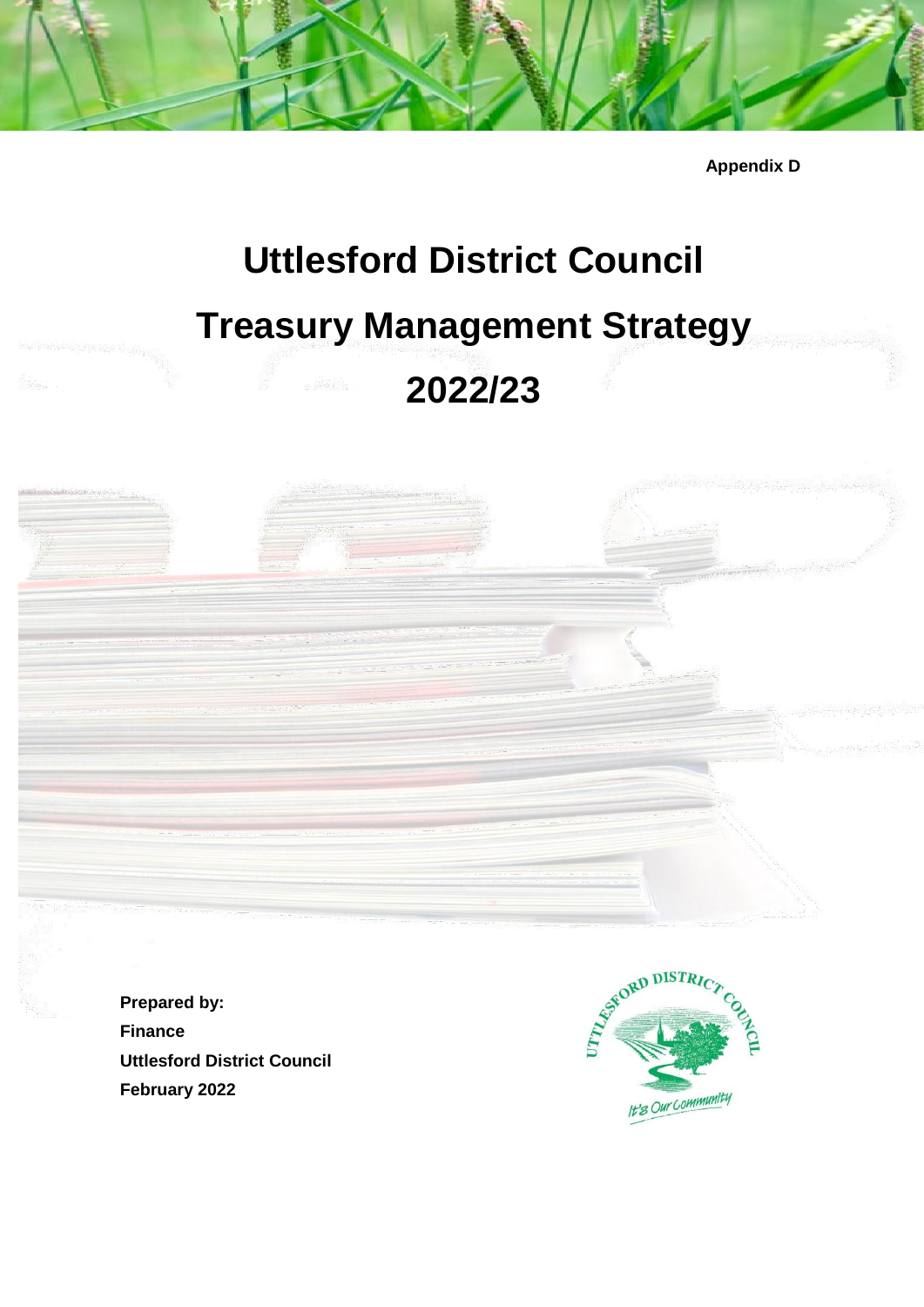**Appendix D**

# **Uttlesford District Council Treasury Management Strategy 2022/23**

**Prepared by: Finance Uttlesford District Council February 2022**

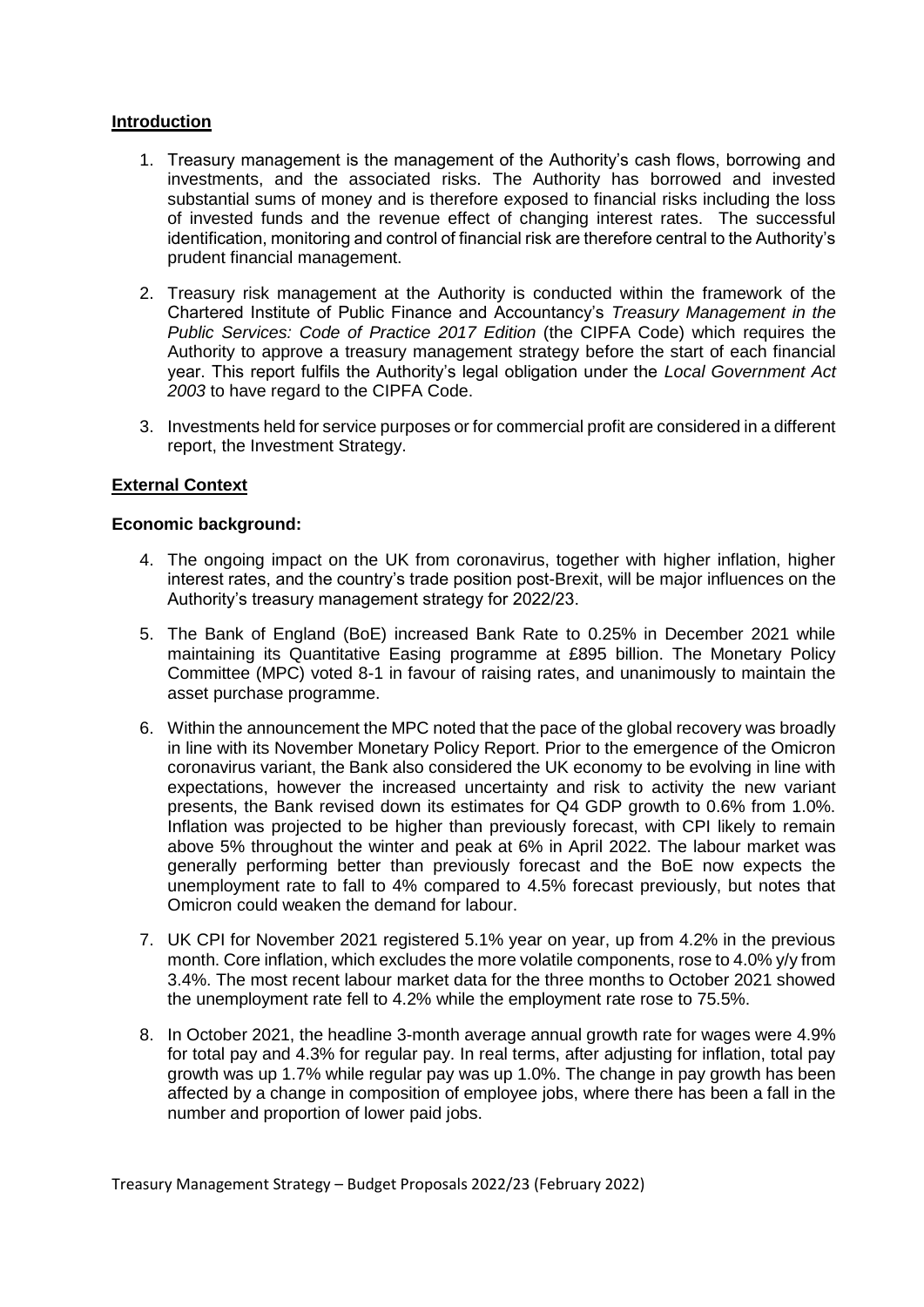## **Introduction**

- 1. Treasury management is the management of the Authority's cash flows, borrowing and investments, and the associated risks. The Authority has borrowed and invested substantial sums of money and is therefore exposed to financial risks including the loss of invested funds and the revenue effect of changing interest rates. The successful identification, monitoring and control of financial risk are therefore central to the Authority's prudent financial management.
- 2. Treasury risk management at the Authority is conducted within the framework of the Chartered Institute of Public Finance and Accountancy's *Treasury Management in the Public Services: Code of Practice 2017 Edition* (the CIPFA Code) which requires the Authority to approve a treasury management strategy before the start of each financial year. This report fulfils the Authority's legal obligation under the *Local Government Act 2003* to have regard to the CIPFA Code.
- 3. Investments held for service purposes or for commercial profit are considered in a different report, the Investment Strategy.

## **External Context**

#### **Economic background:**

- 4. The ongoing impact on the UK from coronavirus, together with higher inflation, higher interest rates, and the country's trade position post-Brexit, will be major influences on the Authority's treasury management strategy for 2022/23.
- 5. The Bank of England (BoE) increased Bank Rate to 0.25% in December 2021 while maintaining its Quantitative Easing programme at £895 billion. The Monetary Policy Committee (MPC) voted 8-1 in favour of raising rates, and unanimously to maintain the asset purchase programme.
- 6. Within the announcement the MPC noted that the pace of the global recovery was broadly in line with its November Monetary Policy Report. Prior to the emergence of the Omicron coronavirus variant, the Bank also considered the UK economy to be evolving in line with expectations, however the increased uncertainty and risk to activity the new variant presents, the Bank revised down its estimates for Q4 GDP growth to 0.6% from 1.0%. Inflation was projected to be higher than previously forecast, with CPI likely to remain above 5% throughout the winter and peak at 6% in April 2022. The labour market was generally performing better than previously forecast and the BoE now expects the unemployment rate to fall to 4% compared to 4.5% forecast previously, but notes that Omicron could weaken the demand for labour.
- 7. UK CPI for November 2021 registered 5.1% year on year, up from 4.2% in the previous month. Core inflation, which excludes the more volatile components, rose to 4.0% y/y from 3.4%. The most recent labour market data for the three months to October 2021 showed the unemployment rate fell to 4.2% while the employment rate rose to 75.5%.
- 8. In October 2021, the headline 3-month average annual growth rate for wages were 4.9% for total pay and 4.3% for regular pay. In real terms, after adjusting for inflation, total pay growth was up 1.7% while regular pay was up 1.0%. The change in pay growth has been affected by a change in composition of employee jobs, where there has been a fall in the number and proportion of lower paid jobs.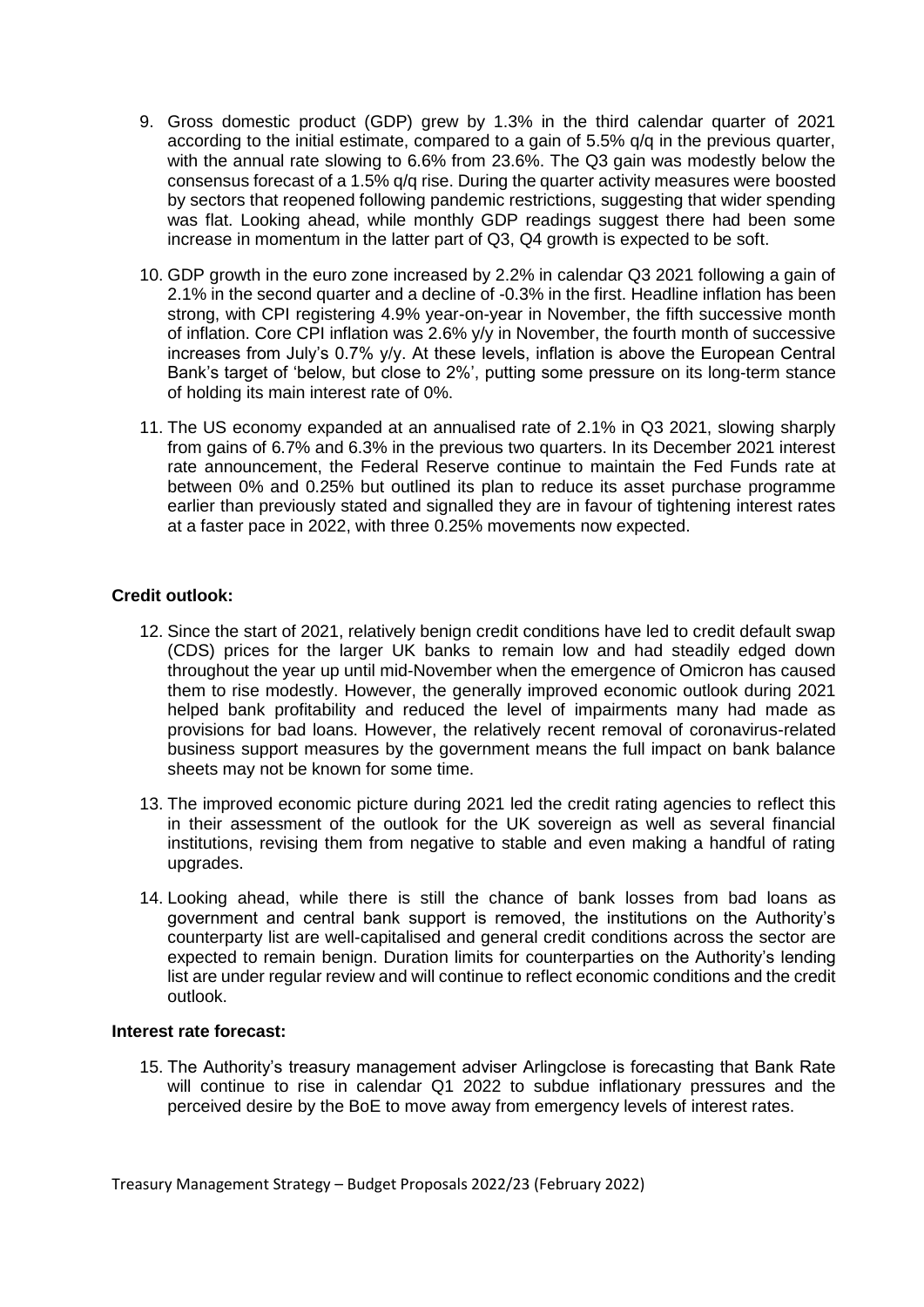- 9. Gross domestic product (GDP) grew by 1.3% in the third calendar quarter of 2021 according to the initial estimate, compared to a gain of 5.5% q/q in the previous quarter, with the annual rate slowing to 6.6% from 23.6%. The Q3 gain was modestly below the consensus forecast of a 1.5% q/q rise. During the quarter activity measures were boosted by sectors that reopened following pandemic restrictions, suggesting that wider spending was flat. Looking ahead, while monthly GDP readings suggest there had been some increase in momentum in the latter part of Q3, Q4 growth is expected to be soft.
- 10. GDP growth in the euro zone increased by 2.2% in calendar Q3 2021 following a gain of 2.1% in the second quarter and a decline of -0.3% in the first. Headline inflation has been strong, with CPI registering 4.9% year-on-year in November, the fifth successive month of inflation. Core CPI inflation was 2.6% y/y in November, the fourth month of successive increases from July's 0.7% y/y. At these levels, inflation is above the European Central Bank's target of 'below, but close to 2%', putting some pressure on its long-term stance of holding its main interest rate of 0%.
- 11. The US economy expanded at an annualised rate of 2.1% in Q3 2021, slowing sharply from gains of 6.7% and 6.3% in the previous two quarters. In its December 2021 interest rate announcement, the Federal Reserve continue to maintain the Fed Funds rate at between 0% and 0.25% but outlined its plan to reduce its asset purchase programme earlier than previously stated and signalled they are in favour of tightening interest rates at a faster pace in 2022, with three 0.25% movements now expected.

## **Credit outlook:**

- 12. Since the start of 2021, relatively benign credit conditions have led to credit default swap (CDS) prices for the larger UK banks to remain low and had steadily edged down throughout the year up until mid-November when the emergence of Omicron has caused them to rise modestly. However, the generally improved economic outlook during 2021 helped bank profitability and reduced the level of impairments many had made as provisions for bad loans. However, the relatively recent removal of coronavirus-related business support measures by the government means the full impact on bank balance sheets may not be known for some time.
- 13. The improved economic picture during 2021 led the credit rating agencies to reflect this in their assessment of the outlook for the UK sovereign as well as several financial institutions, revising them from negative to stable and even making a handful of rating upgrades.
- 14. Looking ahead, while there is still the chance of bank losses from bad loans as government and central bank support is removed, the institutions on the Authority's counterparty list are well-capitalised and general credit conditions across the sector are expected to remain benign. Duration limits for counterparties on the Authority's lending list are under regular review and will continue to reflect economic conditions and the credit outlook.

#### **Interest rate forecast:**

15. The Authority's treasury management adviser Arlingclose is forecasting that Bank Rate will continue to rise in calendar Q1 2022 to subdue inflationary pressures and the perceived desire by the BoE to move away from emergency levels of interest rates.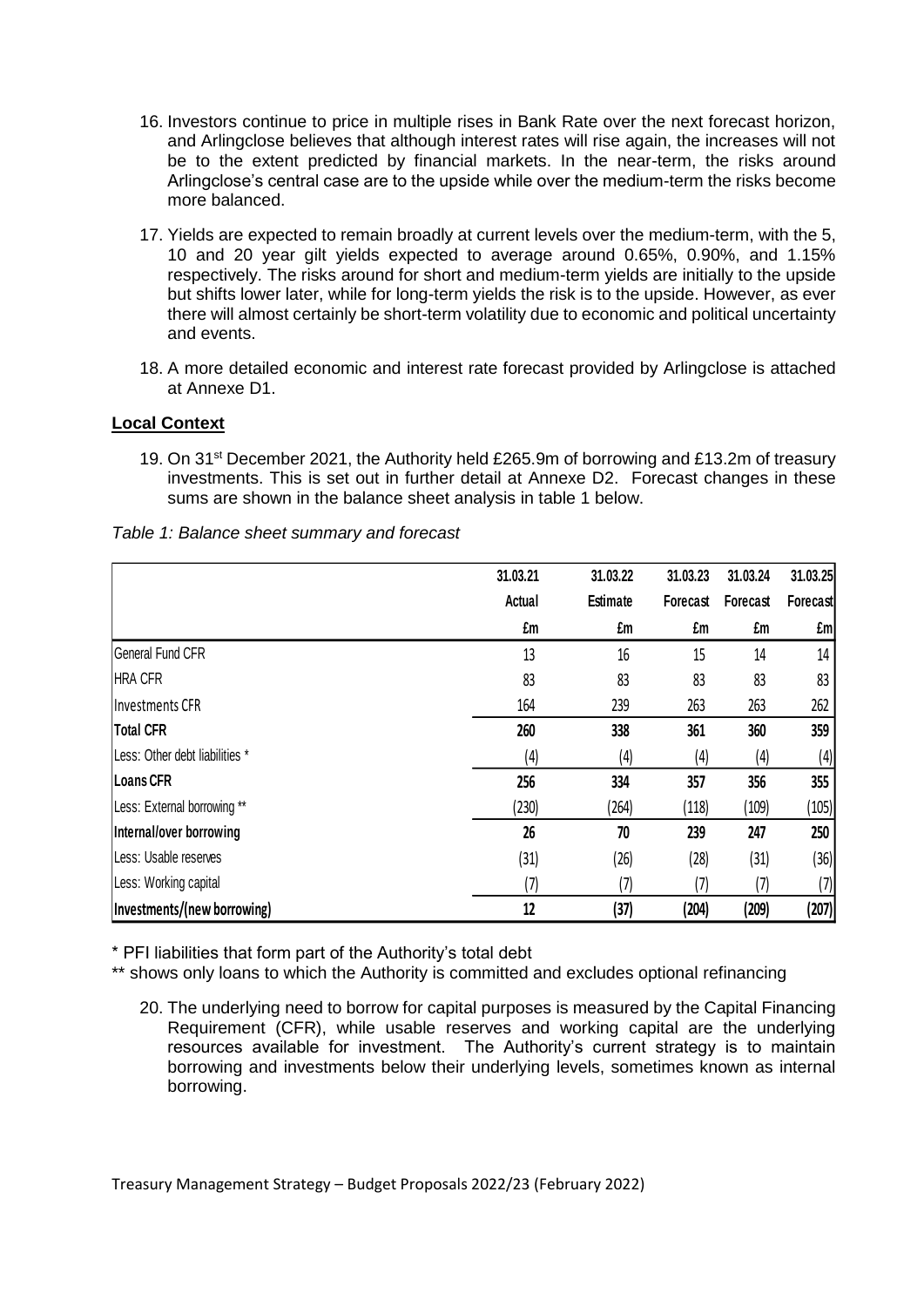- 16. Investors continue to price in multiple rises in Bank Rate over the next forecast horizon, and Arlingclose believes that although interest rates will rise again, the increases will not be to the extent predicted by financial markets. In the near-term, the risks around Arlingclose's central case are to the upside while over the medium-term the risks become more balanced.
- 17. Yields are expected to remain broadly at current levels over the medium-term, with the 5, 10 and 20 year gilt yields expected to average around 0.65%, 0.90%, and 1.15% respectively. The risks around for short and medium-term yields are initially to the upside but shifts lower later, while for long-term yields the risk is to the upside. However, as ever there will almost certainly be short-term volatility due to economic and political uncertainty and events.
- 18. A more detailed economic and interest rate forecast provided by Arlingclose is attached at Annexe D1.

# **Local Context**

19. On 31<sup>st</sup> December 2021, the Authority held £265.9m of borrowing and £13.2m of treasury investments. This is set out in further detail at Annexe D2. Forecast changes in these sums are shown in the balance sheet analysis in table 1 below.

| Table 1: Balance sheet summary and forecast |  |  |  |  |  |  |
|---------------------------------------------|--|--|--|--|--|--|
|---------------------------------------------|--|--|--|--|--|--|

|                                | 31.03.21 | 31.03.22        | 31.03.23 | 31.03.24 | 31.03.25        |
|--------------------------------|----------|-----------------|----------|----------|-----------------|
|                                | Actual   | <b>Estimate</b> | Forecast | Forecast | <b>Forecast</b> |
|                                | £m       | £m              | £m       | £m       | £m              |
| General Fund CFR               | 13       | 16              | 15       | 14       | 14              |
| <b>HRA CFR</b>                 | 83       | 83              | 83       | 83       | 83              |
| Investments CFR                | 164      | 239             | 263      | 263      | 262             |
| <b>Total CFR</b>               | 260      | 338             | 361      | 360      | 359             |
| Less: Other debt liabilities * | (4)      | (4)             | (4)      | (4)      | (4)             |
| <b>Loans CFR</b>               | 256      | 334             | 357      | 356      | 355             |
| Less: External borrowing **    | (230)    | (264)           | (118)    | (109)    | (105)           |
| Internal/over borrowing        | 26       | 70              | 239      | 247      | 250             |
| Less: Usable reserves          | (31)     | (26)            | (28)     | (31)     | (36)            |
| Less: Working capital          | (7)      | (7)             | (7)      | (7)      | (7)             |
| Investments/(new borrowing)    | 12       | (37)            | (204)    | (209)    | (207)           |

\* PFI liabilities that form part of the Authority's total debt

\*\* shows only loans to which the Authority is committed and excludes optional refinancing

20. The underlying need to borrow for capital purposes is measured by the Capital Financing Requirement (CFR), while usable reserves and working capital are the underlying resources available for investment. The Authority's current strategy is to maintain borrowing and investments below their underlying levels, sometimes known as internal borrowing.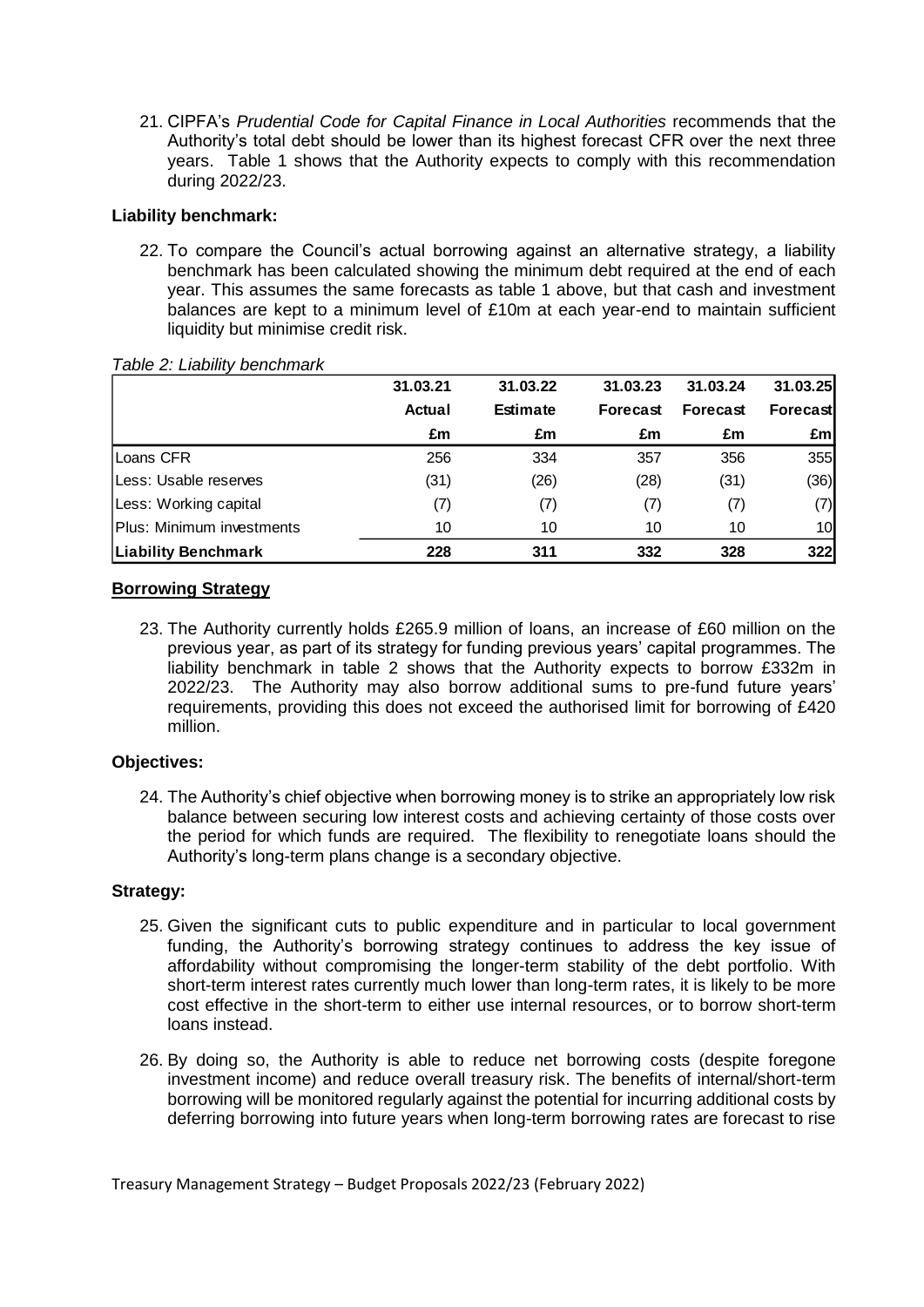21. CIPFA's *Prudential Code for Capital Finance in Local Authorities* recommends that the Authority's total debt should be lower than its highest forecast CFR over the next three years. Table 1 shows that the Authority expects to comply with this recommendation during 2022/23.

## **Liability benchmark:**

22. To compare the Council's actual borrowing against an alternative strategy, a liability benchmark has been calculated showing the minimum debt required at the end of each year. This assumes the same forecasts as table 1 above, but that cash and investment balances are kept to a minimum level of £10m at each year-end to maintain sufficient liquidity but minimise credit risk.

|                            | 31.03.21      | 31.03.22        | 31.03.23 | 31.03.24 | 31.03.25        |
|----------------------------|---------------|-----------------|----------|----------|-----------------|
|                            | <b>Actual</b> | <b>Estimate</b> | Forecast | Forecast | Forecastl       |
|                            | £m            | £m              | £m       | £m       | £ml             |
| Loans CFR                  | 256           | 334             | 357      | 356      | 355             |
| Less: Usable reserves      | (31)          | (26)            | (28)     | (31)     | (36)            |
| Less: Working capital      | (7)           | (7)             | (7)      | (7)      | (7)             |
| Plus: Minimum investments  | 10            | 10              | 10       | 10       | 10 <sup>1</sup> |
| <b>Liability Benchmark</b> | 228           | 311             | 332      | 328      | 322             |

#### *Table 2: Liability benchmark*

# **Borrowing Strategy**

23. The Authority currently holds £265.9 million of loans, an increase of £60 million on the previous year, as part of its strategy for funding previous years' capital programmes. The liability benchmark in table 2 shows that the Authority expects to borrow £332m in 2022/23. The Authority may also borrow additional sums to pre-fund future years' requirements, providing this does not exceed the authorised limit for borrowing of £420 million.

## **Objectives:**

24. The Authority's chief objective when borrowing money is to strike an appropriately low risk balance between securing low interest costs and achieving certainty of those costs over the period for which funds are required. The flexibility to renegotiate loans should the Authority's long-term plans change is a secondary objective.

## **Strategy:**

- 25. Given the significant cuts to public expenditure and in particular to local government funding, the Authority's borrowing strategy continues to address the key issue of affordability without compromising the longer-term stability of the debt portfolio. With short-term interest rates currently much lower than long-term rates, it is likely to be more cost effective in the short-term to either use internal resources, or to borrow short-term loans instead.
- 26. By doing so, the Authority is able to reduce net borrowing costs (despite foregone investment income) and reduce overall treasury risk. The benefits of internal/short-term borrowing will be monitored regularly against the potential for incurring additional costs by deferring borrowing into future years when long-term borrowing rates are forecast to rise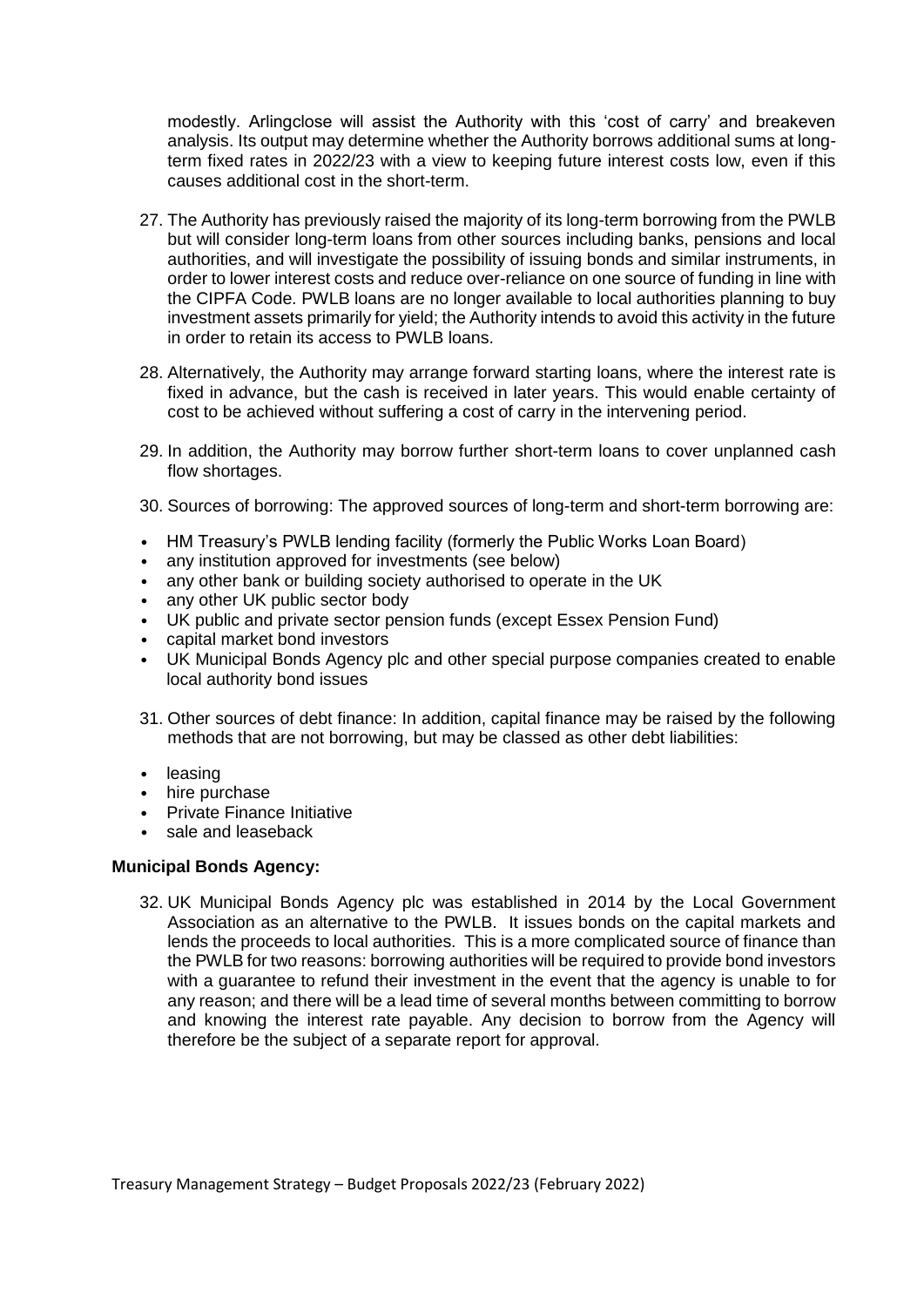modestly. Arlingclose will assist the Authority with this 'cost of carry' and breakeven analysis. Its output may determine whether the Authority borrows additional sums at longterm fixed rates in 2022/23 with a view to keeping future interest costs low, even if this causes additional cost in the short-term.

- 27. The Authority has previously raised the majority of its long-term borrowing from the PWLB but will consider long-term loans from other sources including banks, pensions and local authorities, and will investigate the possibility of issuing bonds and similar instruments, in order to lower interest costs and reduce over-reliance on one source of funding in line with the CIPFA Code. PWLB loans are no longer available to local authorities planning to buy investment assets primarily for yield; the Authority intends to avoid this activity in the future in order to retain its access to PWLB loans.
- 28. Alternatively, the Authority may arrange forward starting loans, where the interest rate is fixed in advance, but the cash is received in later years. This would enable certainty of cost to be achieved without suffering a cost of carry in the intervening period.
- 29. In addition, the Authority may borrow further short-term loans to cover unplanned cash flow shortages.
- 30. Sources of borrowing: The approved sources of long-term and short-term borrowing are:
- HM Treasury's PWLB lending facility (formerly the Public Works Loan Board)
- any institution approved for investments (see below)
- any other bank or building society authorised to operate in the UK
- any other UK public sector body
- UK public and private sector pension funds (except Essex Pension Fund)
- capital market bond investors
- UK Municipal Bonds Agency plc and other special purpose companies created to enable local authority bond issues
- 31. Other sources of debt finance: In addition, capital finance may be raised by the following methods that are not borrowing, but may be classed as other debt liabilities:
- leasing
- hire purchase
- Private Finance Initiative
- sale and leaseback

#### **Municipal Bonds Agency:**

32. UK Municipal Bonds Agency plc was established in 2014 by the Local Government Association as an alternative to the PWLB. It issues bonds on the capital markets and lends the proceeds to local authorities. This is a more complicated source of finance than the PWLB for two reasons: borrowing authorities will be required to provide bond investors with a guarantee to refund their investment in the event that the agency is unable to for any reason; and there will be a lead time of several months between committing to borrow and knowing the interest rate payable. Any decision to borrow from the Agency will therefore be the subject of a separate report for approval.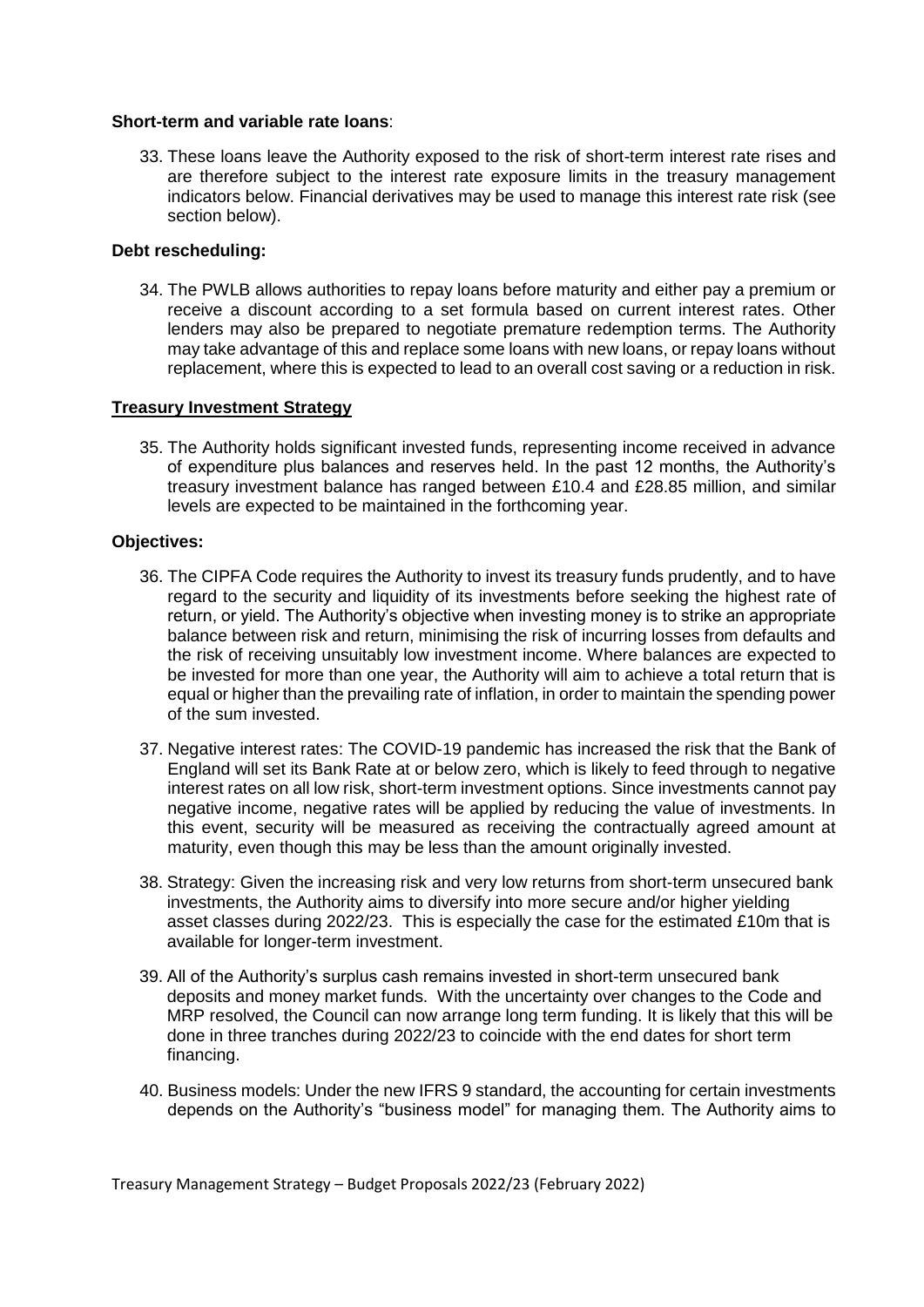#### **Short-term and variable rate loans**:

33. These loans leave the Authority exposed to the risk of short-term interest rate rises and are therefore subject to the interest rate exposure limits in the treasury management indicators below. Financial derivatives may be used to manage this interest rate risk (see section below).

#### **Debt rescheduling:**

34. The PWLB allows authorities to repay loans before maturity and either pay a premium or receive a discount according to a set formula based on current interest rates. Other lenders may also be prepared to negotiate premature redemption terms. The Authority may take advantage of this and replace some loans with new loans, or repay loans without replacement, where this is expected to lead to an overall cost saving or a reduction in risk.

#### **Treasury Investment Strategy**

35. The Authority holds significant invested funds, representing income received in advance of expenditure plus balances and reserves held. In the past 12 months, the Authority's treasury investment balance has ranged between £10.4 and £28.85 million, and similar levels are expected to be maintained in the forthcoming year.

#### **Objectives:**

- 36. The CIPFA Code requires the Authority to invest its treasury funds prudently, and to have regard to the security and liquidity of its investments before seeking the highest rate of return, or yield. The Authority's objective when investing money is to strike an appropriate balance between risk and return, minimising the risk of incurring losses from defaults and the risk of receiving unsuitably low investment income. Where balances are expected to be invested for more than one year, the Authority will aim to achieve a total return that is equal or higher than the prevailing rate of inflation, in order to maintain the spending power of the sum invested.
- 37. Negative interest rates: The COVID-19 pandemic has increased the risk that the Bank of England will set its Bank Rate at or below zero, which is likely to feed through to negative interest rates on all low risk, short-term investment options. Since investments cannot pay negative income, negative rates will be applied by reducing the value of investments. In this event, security will be measured as receiving the contractually agreed amount at maturity, even though this may be less than the amount originally invested.
- 38. Strategy: Given the increasing risk and very low returns from short-term unsecured bank investments, the Authority aims to diversify into more secure and/or higher yielding asset classes during 2022/23. This is especially the case for the estimated £10m that is available for longer-term investment.
- 39. All of the Authority's surplus cash remains invested in short-term unsecured bank deposits and money market funds. With the uncertainty over changes to the Code and MRP resolved, the Council can now arrange long term funding. It is likely that this will be done in three tranches during 2022/23 to coincide with the end dates for short term financing.
- 40. Business models: Under the new IFRS 9 standard, the accounting for certain investments depends on the Authority's "business model" for managing them. The Authority aims to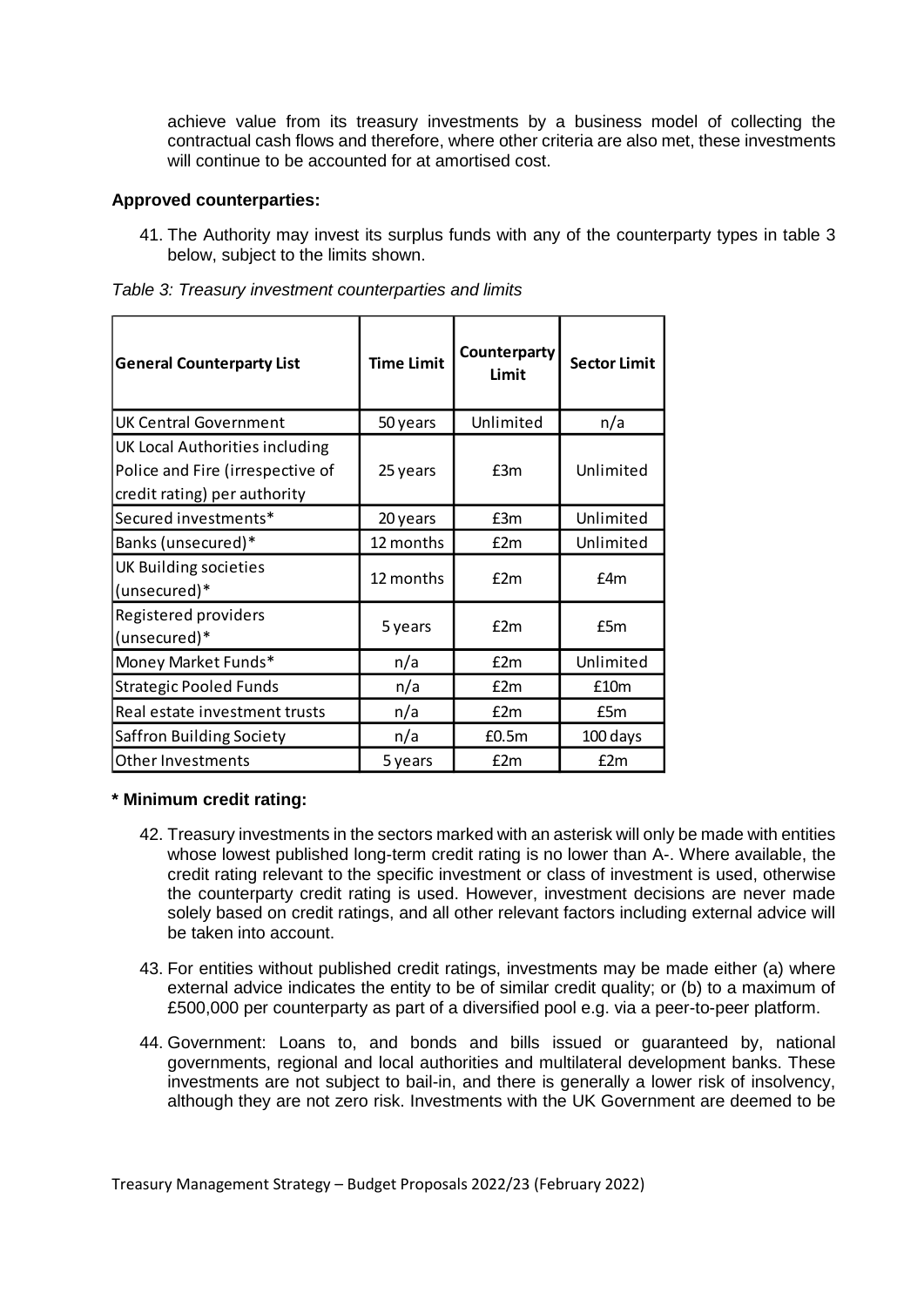achieve value from its treasury investments by a business model of collecting the contractual cash flows and therefore, where other criteria are also met, these investments will continue to be accounted for at amortised cost.

#### **Approved counterparties:**

41. The Authority may invest its surplus funds with any of the counterparty types in table 3 below, subject to the limits shown.

| <b>General Counterparty List</b>                                                                   | <b>Time Limit</b> | Counterparty<br>Limit | <b>Sector Limit</b> |  |
|----------------------------------------------------------------------------------------------------|-------------------|-----------------------|---------------------|--|
| <b>UK Central Government</b>                                                                       | 50 years          | Unlimited             | n/a                 |  |
| UK Local Authorities including<br>Police and Fire (irrespective of<br>credit rating) per authority | 25 years          | E3m                   | Unlimited           |  |
| Secured investments*                                                                               | 20 years          | £3m                   | Unlimited           |  |
| Banks (unsecured)*                                                                                 | 12 months         | E2m                   | Unlimited           |  |
| UK Building societies<br>(unsecured)*                                                              | 12 months         | f2m                   | £4m                 |  |
| Registered providers<br>(unsecured)*                                                               | 5 years           | f2m                   | £5m                 |  |
| Money Market Funds*                                                                                | n/a               | f2m                   | Unlimited           |  |
| <b>Strategic Pooled Funds</b>                                                                      | n/a               | f2m                   | £10m                |  |
| Real estate investment trusts                                                                      | n/a               | f2m                   | £5m                 |  |
| Saffron Building Society                                                                           | n/a               | £0.5m                 | 100 days            |  |
| <b>Other Investments</b>                                                                           | 5 years           | £2m                   | E2m                 |  |

*Table 3: Treasury investment counterparties and limits* 

## **\* Minimum credit rating:**

- 42. Treasury investments in the sectors marked with an asterisk will only be made with entities whose lowest published long-term credit rating is no lower than A-. Where available, the credit rating relevant to the specific investment or class of investment is used, otherwise the counterparty credit rating is used. However, investment decisions are never made solely based on credit ratings, and all other relevant factors including external advice will be taken into account.
- 43. For entities without published credit ratings, investments may be made either (a) where external advice indicates the entity to be of similar credit quality; or (b) to a maximum of £500,000 per counterparty as part of a diversified pool e.g. via a peer-to-peer platform.
- 44. Government: Loans to, and bonds and bills issued or guaranteed by, national governments, regional and local authorities and multilateral development banks. These investments are not subject to bail-in, and there is generally a lower risk of insolvency, although they are not zero risk. Investments with the UK Government are deemed to be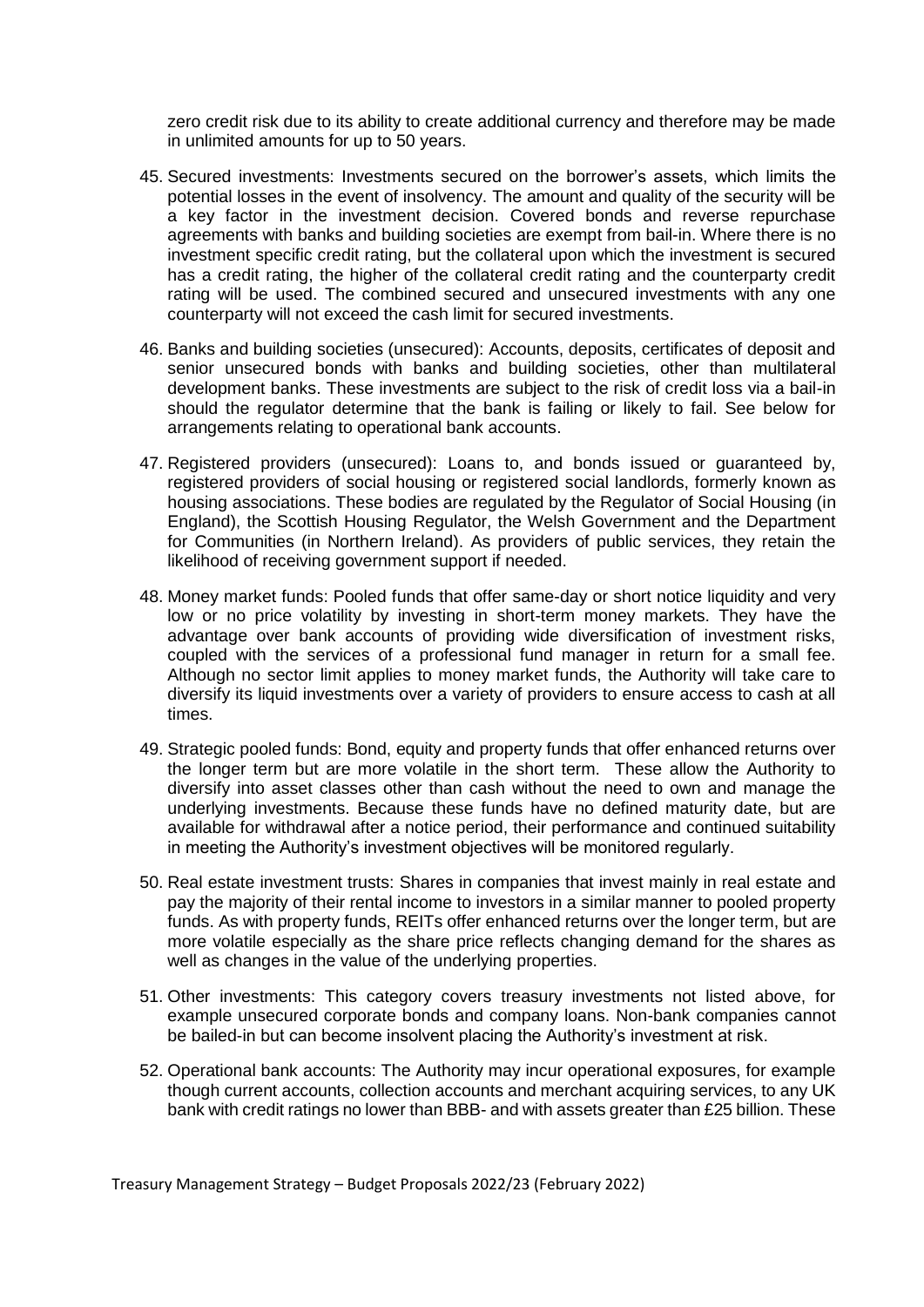zero credit risk due to its ability to create additional currency and therefore may be made in unlimited amounts for up to 50 years.

- 45. Secured investments: Investments secured on the borrower's assets, which limits the potential losses in the event of insolvency. The amount and quality of the security will be a key factor in the investment decision. Covered bonds and reverse repurchase agreements with banks and building societies are exempt from bail-in. Where there is no investment specific credit rating, but the collateral upon which the investment is secured has a credit rating, the higher of the collateral credit rating and the counterparty credit rating will be used. The combined secured and unsecured investments with any one counterparty will not exceed the cash limit for secured investments.
- 46. Banks and building societies (unsecured): Accounts, deposits, certificates of deposit and senior unsecured bonds with banks and building societies, other than multilateral development banks. These investments are subject to the risk of credit loss via a bail-in should the regulator determine that the bank is failing or likely to fail. See below for arrangements relating to operational bank accounts.
- 47. Registered providers (unsecured): Loans to, and bonds issued or guaranteed by, registered providers of social housing or registered social landlords, formerly known as housing associations. These bodies are regulated by the Regulator of Social Housing (in England), the Scottish Housing Regulator, the Welsh Government and the Department for Communities (in Northern Ireland). As providers of public services, they retain the likelihood of receiving government support if needed.
- 48. Money market funds: Pooled funds that offer same-day or short notice liquidity and very low or no price volatility by investing in short-term money markets. They have the advantage over bank accounts of providing wide diversification of investment risks, coupled with the services of a professional fund manager in return for a small fee. Although no sector limit applies to money market funds, the Authority will take care to diversify its liquid investments over a variety of providers to ensure access to cash at all times.
- 49. Strategic pooled funds: Bond, equity and property funds that offer enhanced returns over the longer term but are more volatile in the short term. These allow the Authority to diversify into asset classes other than cash without the need to own and manage the underlying investments. Because these funds have no defined maturity date, but are available for withdrawal after a notice period, their performance and continued suitability in meeting the Authority's investment objectives will be monitored regularly.
- 50. Real estate investment trusts: Shares in companies that invest mainly in real estate and pay the majority of their rental income to investors in a similar manner to pooled property funds. As with property funds, REITs offer enhanced returns over the longer term, but are more volatile especially as the share price reflects changing demand for the shares as well as changes in the value of the underlying properties.
- 51. Other investments: This category covers treasury investments not listed above, for example unsecured corporate bonds and company loans. Non-bank companies cannot be bailed-in but can become insolvent placing the Authority's investment at risk.
- 52. Operational bank accounts: The Authority may incur operational exposures, for example though current accounts, collection accounts and merchant acquiring services, to any UK bank with credit ratings no lower than BBB- and with assets greater than £25 billion. These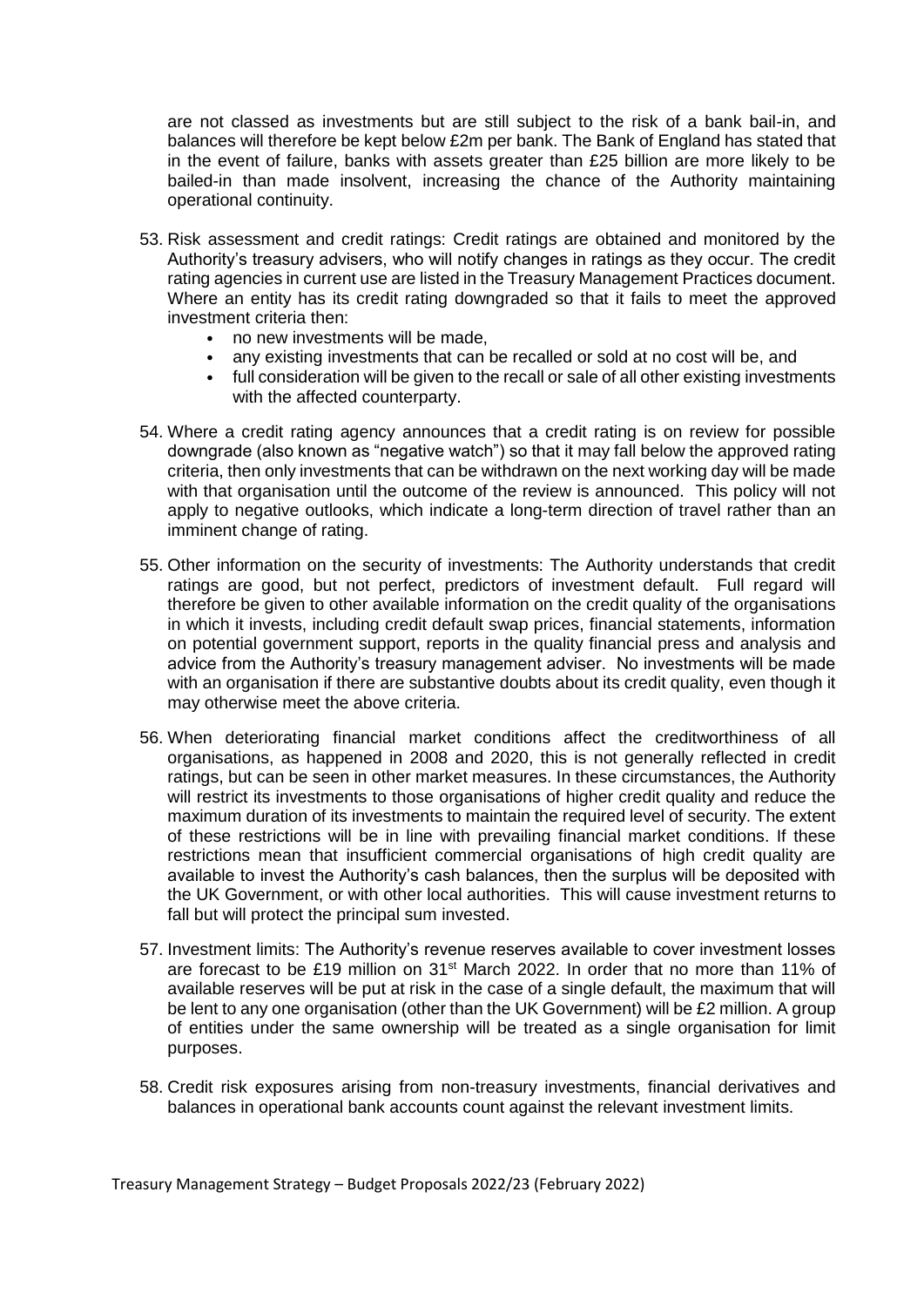are not classed as investments but are still subject to the risk of a bank bail-in, and balances will therefore be kept below £2m per bank. The Bank of England has stated that in the event of failure, banks with assets greater than £25 billion are more likely to be bailed-in than made insolvent, increasing the chance of the Authority maintaining operational continuity.

- 53. Risk assessment and credit ratings: Credit ratings are obtained and monitored by the Authority's treasury advisers, who will notify changes in ratings as they occur. The credit rating agencies in current use are listed in the Treasury Management Practices document. Where an entity has its credit rating downgraded so that it fails to meet the approved investment criteria then:
	- no new investments will be made,
	- any existing investments that can be recalled or sold at no cost will be, and
	- full consideration will be given to the recall or sale of all other existing investments with the affected counterparty.
- 54. Where a credit rating agency announces that a credit rating is on review for possible downgrade (also known as "negative watch") so that it may fall below the approved rating criteria, then only investments that can be withdrawn on the next working day will be made with that organisation until the outcome of the review is announced. This policy will not apply to negative outlooks, which indicate a long-term direction of travel rather than an imminent change of rating.
- 55. Other information on the security of investments: The Authority understands that credit ratings are good, but not perfect, predictors of investment default. Full regard will therefore be given to other available information on the credit quality of the organisations in which it invests, including credit default swap prices, financial statements, information on potential government support, reports in the quality financial press and analysis and advice from the Authority's treasury management adviser. No investments will be made with an organisation if there are substantive doubts about its credit quality, even though it may otherwise meet the above criteria.
- 56. When deteriorating financial market conditions affect the creditworthiness of all organisations, as happened in 2008 and 2020, this is not generally reflected in credit ratings, but can be seen in other market measures. In these circumstances, the Authority will restrict its investments to those organisations of higher credit quality and reduce the maximum duration of its investments to maintain the required level of security. The extent of these restrictions will be in line with prevailing financial market conditions. If these restrictions mean that insufficient commercial organisations of high credit quality are available to invest the Authority's cash balances, then the surplus will be deposited with the UK Government, or with other local authorities. This will cause investment returns to fall but will protect the principal sum invested.
- 57. Investment limits: The Authority's revenue reserves available to cover investment losses are forecast to be £19 million on  $31^{st}$  March 2022. In order that no more than 11% of available reserves will be put at risk in the case of a single default, the maximum that will be lent to any one organisation (other than the UK Government) will be £2 million. A group of entities under the same ownership will be treated as a single organisation for limit purposes.
- 58. Credit risk exposures arising from non-treasury investments, financial derivatives and balances in operational bank accounts count against the relevant investment limits.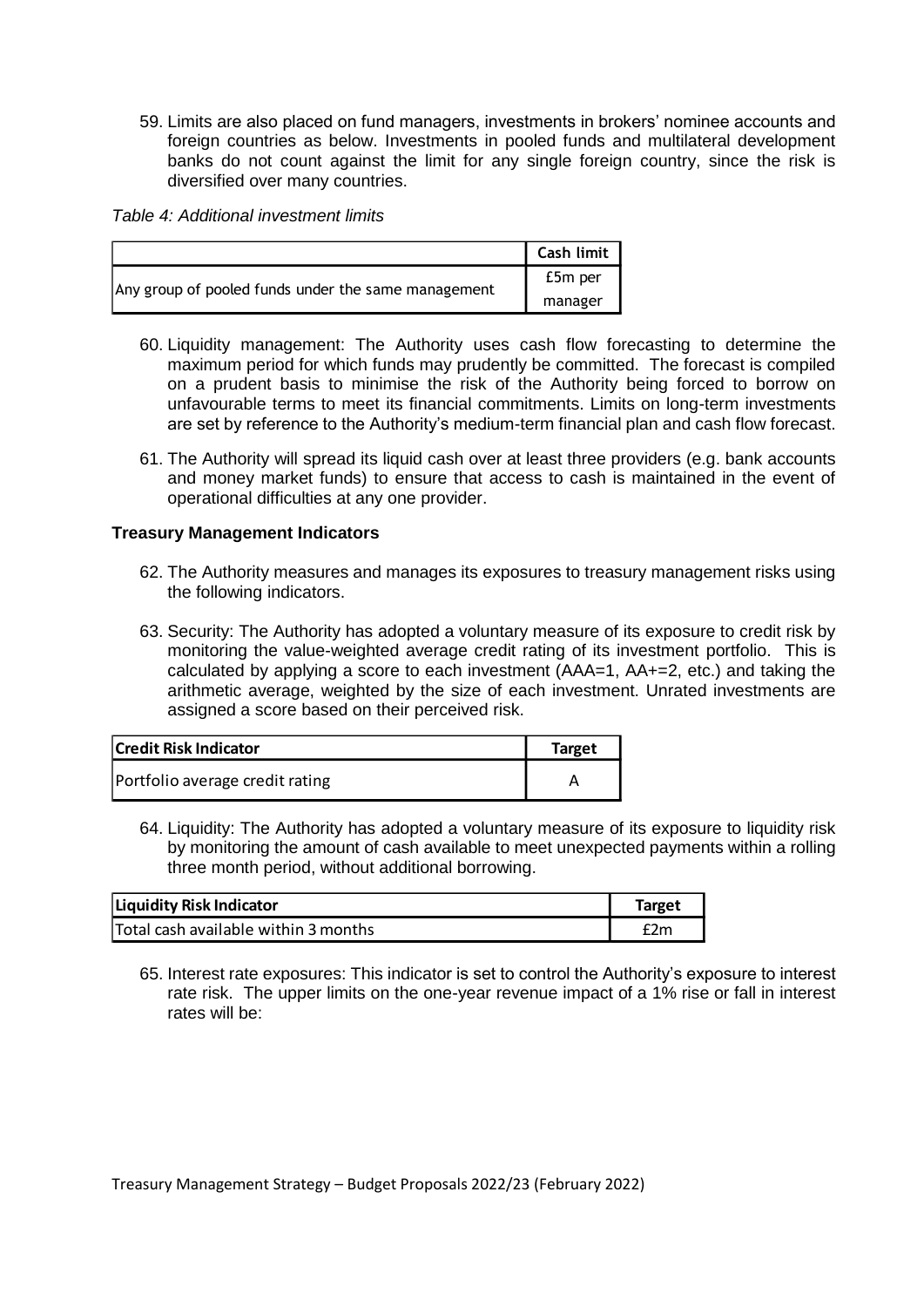59. Limits are also placed on fund managers, investments in brokers' nominee accounts and foreign countries as below. Investments in pooled funds and multilateral development banks do not count against the limit for any single foreign country, since the risk is diversified over many countries.

*Table 4: Additional investment limits*

|                                                     | Cash limit |
|-----------------------------------------------------|------------|
| Any group of pooled funds under the same management | £5m per    |
|                                                     | manager    |

- 60. Liquidity management: The Authority uses cash flow forecasting to determine the maximum period for which funds may prudently be committed. The forecast is compiled on a prudent basis to minimise the risk of the Authority being forced to borrow on unfavourable terms to meet its financial commitments. Limits on long-term investments are set by reference to the Authority's medium-term financial plan and cash flow forecast.
- 61. The Authority will spread its liquid cash over at least three providers (e.g. bank accounts and money market funds) to ensure that access to cash is maintained in the event of operational difficulties at any one provider.

#### **Treasury Management Indicators**

- 62. The Authority measures and manages its exposures to treasury management risks using the following indicators.
- 63. Security: The Authority has adopted a voluntary measure of its exposure to credit risk by monitoring the value-weighted average credit rating of its investment portfolio. This is calculated by applying a score to each investment (AAA=1, AA+=2, etc.) and taking the arithmetic average, weighted by the size of each investment. Unrated investments are assigned a score based on their perceived risk.

| Credit Risk Indicator           | Target |
|---------------------------------|--------|
| Portfolio average credit rating |        |

64. Liquidity: The Authority has adopted a voluntary measure of its exposure to liquidity risk by monitoring the amount of cash available to meet unexpected payments within a rolling three month period, without additional borrowing.

| <b>Liquidity Risk Indicator</b>      | Target |
|--------------------------------------|--------|
| Total cash available within 3 months | £2m    |

65. Interest rate exposures: This indicator is set to control the Authority's exposure to interest rate risk. The upper limits on the one-year revenue impact of a 1% rise or fall in interest rates will be: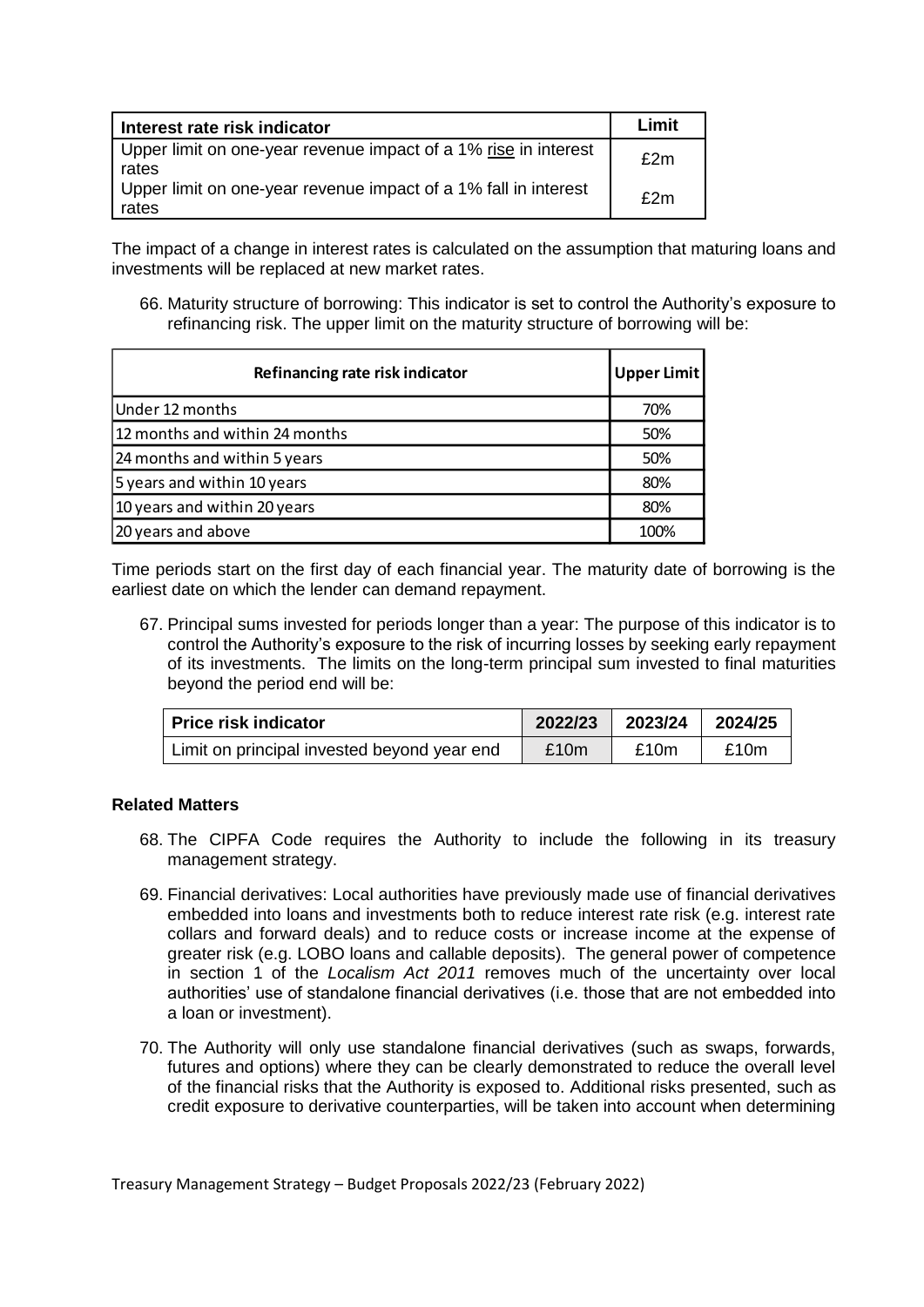| Interest rate risk indicator                                             | Limit |
|--------------------------------------------------------------------------|-------|
| Upper limit on one-year revenue impact of a 1% rise in interest<br>rates | f2m   |
| Upper limit on one-year revenue impact of a 1% fall in interest<br>rates | f2m   |

The impact of a change in interest rates is calculated on the assumption that maturing loans and investments will be replaced at new market rates.

66. Maturity structure of borrowing: This indicator is set to control the Authority's exposure to refinancing risk. The upper limit on the maturity structure of borrowing will be:

| Refinancing rate risk indicator | <b>Upper Limit</b> |
|---------------------------------|--------------------|
| Under 12 months                 | 70%                |
| 12 months and within 24 months  | 50%                |
| 24 months and within 5 years    | 50%                |
| 5 years and within 10 years     | 80%                |
| 10 years and within 20 years    | 80%                |
| 20 years and above              | 100%               |

Time periods start on the first day of each financial year. The maturity date of borrowing is the earliest date on which the lender can demand repayment.

67. Principal sums invested for periods longer than a year: The purpose of this indicator is to control the Authority's exposure to the risk of incurring losses by seeking early repayment of its investments. The limits on the long-term principal sum invested to final maturities beyond the period end will be:

| <b>Price risk indicator</b>                 | 2022/23 | 2023/24 | 2024/25 |
|---------------------------------------------|---------|---------|---------|
| Limit on principal invested beyond year end | £10m    | £10m    | £10m    |

## **Related Matters**

- 68. The CIPFA Code requires the Authority to include the following in its treasury management strategy.
- 69. Financial derivatives: Local authorities have previously made use of financial derivatives embedded into loans and investments both to reduce interest rate risk (e.g. interest rate collars and forward deals) and to reduce costs or increase income at the expense of greater risk (e.g. LOBO loans and callable deposits). The general power of competence in section 1 of the *Localism Act 2011* removes much of the uncertainty over local authorities' use of standalone financial derivatives (i.e. those that are not embedded into a loan or investment).
- 70. The Authority will only use standalone financial derivatives (such as swaps, forwards, futures and options) where they can be clearly demonstrated to reduce the overall level of the financial risks that the Authority is exposed to. Additional risks presented, such as credit exposure to derivative counterparties, will be taken into account when determining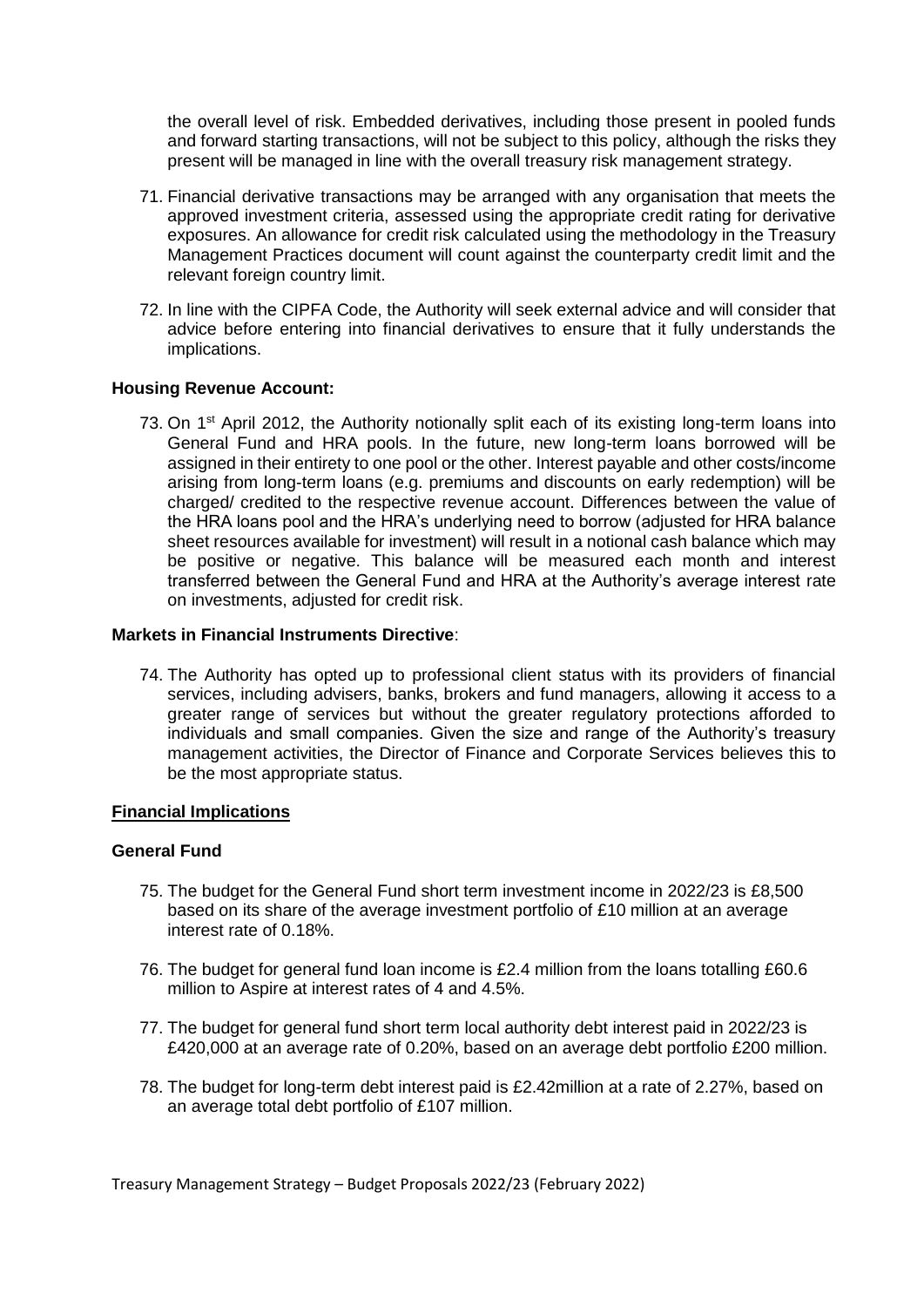the overall level of risk. Embedded derivatives, including those present in pooled funds and forward starting transactions, will not be subject to this policy, although the risks they present will be managed in line with the overall treasury risk management strategy.

- 71. Financial derivative transactions may be arranged with any organisation that meets the approved investment criteria, assessed using the appropriate credit rating for derivative exposures. An allowance for credit risk calculated using the methodology in the Treasury Management Practices document will count against the counterparty credit limit and the relevant foreign country limit.
- 72. In line with the CIPFA Code, the Authority will seek external advice and will consider that advice before entering into financial derivatives to ensure that it fully understands the implications.

#### **Housing Revenue Account:**

73. On 1<sup>st</sup> April 2012, the Authority notionally split each of its existing long-term loans into General Fund and HRA pools. In the future, new long-term loans borrowed will be assigned in their entirety to one pool or the other. Interest payable and other costs/income arising from long-term loans (e.g. premiums and discounts on early redemption) will be charged/ credited to the respective revenue account. Differences between the value of the HRA loans pool and the HRA's underlying need to borrow (adjusted for HRA balance sheet resources available for investment) will result in a notional cash balance which may be positive or negative. This balance will be measured each month and interest transferred between the General Fund and HRA at the Authority's average interest rate on investments, adjusted for credit risk.

#### **Markets in Financial Instruments Directive**:

74. The Authority has opted up to professional client status with its providers of financial services, including advisers, banks, brokers and fund managers, allowing it access to a greater range of services but without the greater regulatory protections afforded to individuals and small companies. Given the size and range of the Authority's treasury management activities, the Director of Finance and Corporate Services believes this to be the most appropriate status.

## **Financial Implications**

#### **General Fund**

- 75. The budget for the General Fund short term investment income in 2022/23 is £8,500 based on its share of the average investment portfolio of £10 million at an average interest rate of 0.18%.
- 76. The budget for general fund loan income is £2.4 million from the loans totalling £60.6 million to Aspire at interest rates of 4 and 4.5%.
- 77. The budget for general fund short term local authority debt interest paid in 2022/23 is £420,000 at an average rate of 0.20%, based on an average debt portfolio £200 million.
- 78. The budget for long-term debt interest paid is £2.42million at a rate of 2.27%, based on an average total debt portfolio of £107 million.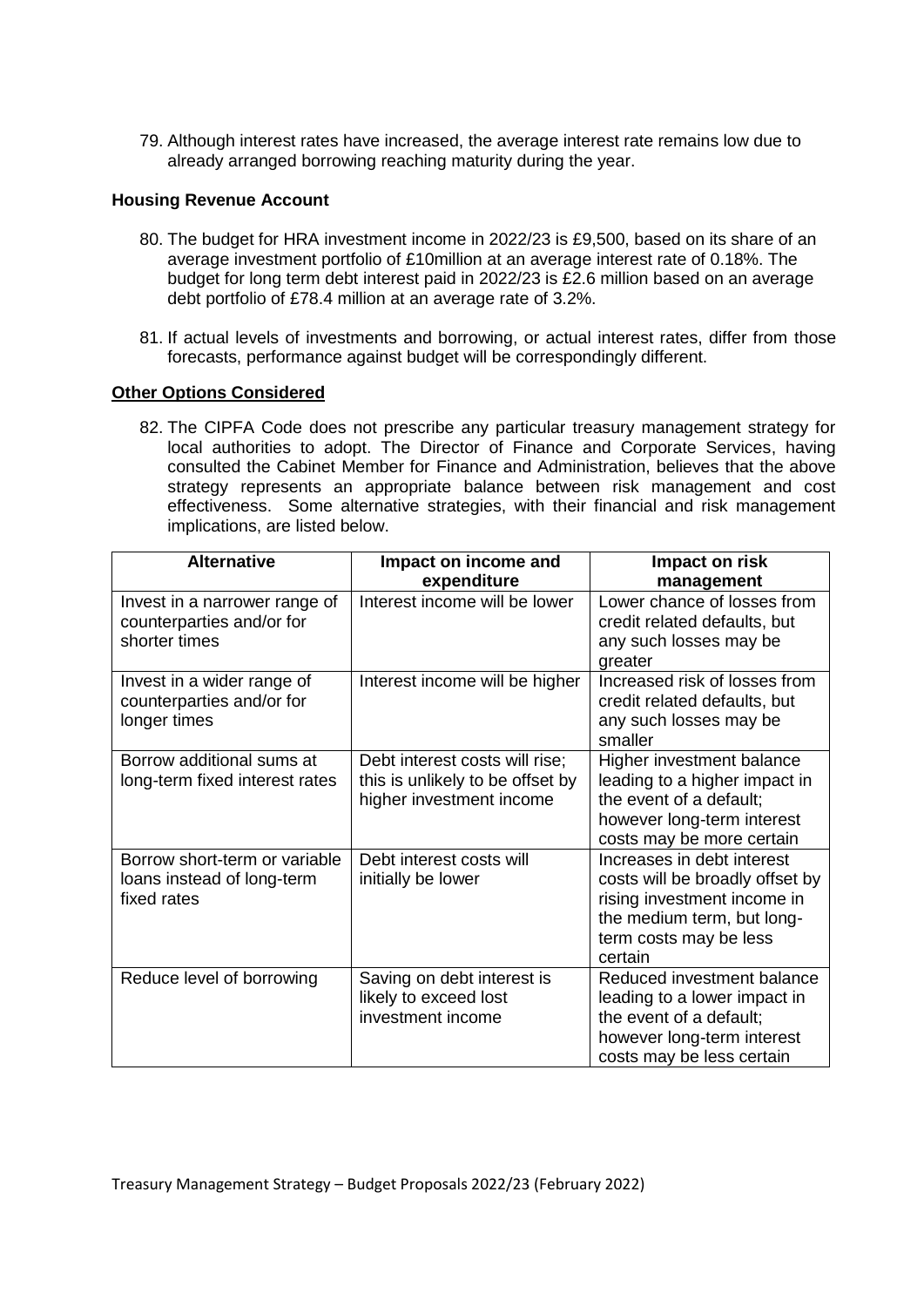79. Although interest rates have increased, the average interest rate remains low due to already arranged borrowing reaching maturity during the year.

#### **Housing Revenue Account**

- 80. The budget for HRA investment income in 2022/23 is £9,500, based on its share of an average investment portfolio of £10million at an average interest rate of 0.18%. The budget for long term debt interest paid in 2022/23 is £2.6 million based on an average debt portfolio of £78.4 million at an average rate of 3.2%.
- 81. If actual levels of investments and borrowing, or actual interest rates, differ from those forecasts, performance against budget will be correspondingly different.

#### **Other Options Considered**

82. The CIPFA Code does not prescribe any particular treasury management strategy for local authorities to adopt. The Director of Finance and Corporate Services, having consulted the Cabinet Member for Finance and Administration, believes that the above strategy represents an appropriate balance between risk management and cost effectiveness. Some alternative strategies, with their financial and risk management implications, are listed below.

| <b>Alternative</b>                                                          | Impact on income and                                                                           | Impact on risk                                                                                                                                                  |
|-----------------------------------------------------------------------------|------------------------------------------------------------------------------------------------|-----------------------------------------------------------------------------------------------------------------------------------------------------------------|
|                                                                             | expenditure                                                                                    | management                                                                                                                                                      |
| Invest in a narrower range of<br>counterparties and/or for<br>shorter times | Interest income will be lower                                                                  | Lower chance of losses from<br>credit related defaults, but<br>any such losses may be<br>greater                                                                |
| Invest in a wider range of<br>counterparties and/or for<br>longer times     | Interest income will be higher                                                                 | Increased risk of losses from<br>credit related defaults, but<br>any such losses may be<br>smaller                                                              |
| Borrow additional sums at<br>long-term fixed interest rates                 | Debt interest costs will rise;<br>this is unlikely to be offset by<br>higher investment income | Higher investment balance<br>leading to a higher impact in<br>the event of a default;<br>however long-term interest<br>costs may be more certain                |
| Borrow short-term or variable<br>loans instead of long-term<br>fixed rates  | Debt interest costs will<br>initially be lower                                                 | Increases in debt interest<br>costs will be broadly offset by<br>rising investment income in<br>the medium term, but long-<br>term costs may be less<br>certain |
| Reduce level of borrowing                                                   | Saving on debt interest is<br>likely to exceed lost<br>investment income                       | Reduced investment balance<br>leading to a lower impact in<br>the event of a default;<br>however long-term interest<br>costs may be less certain                |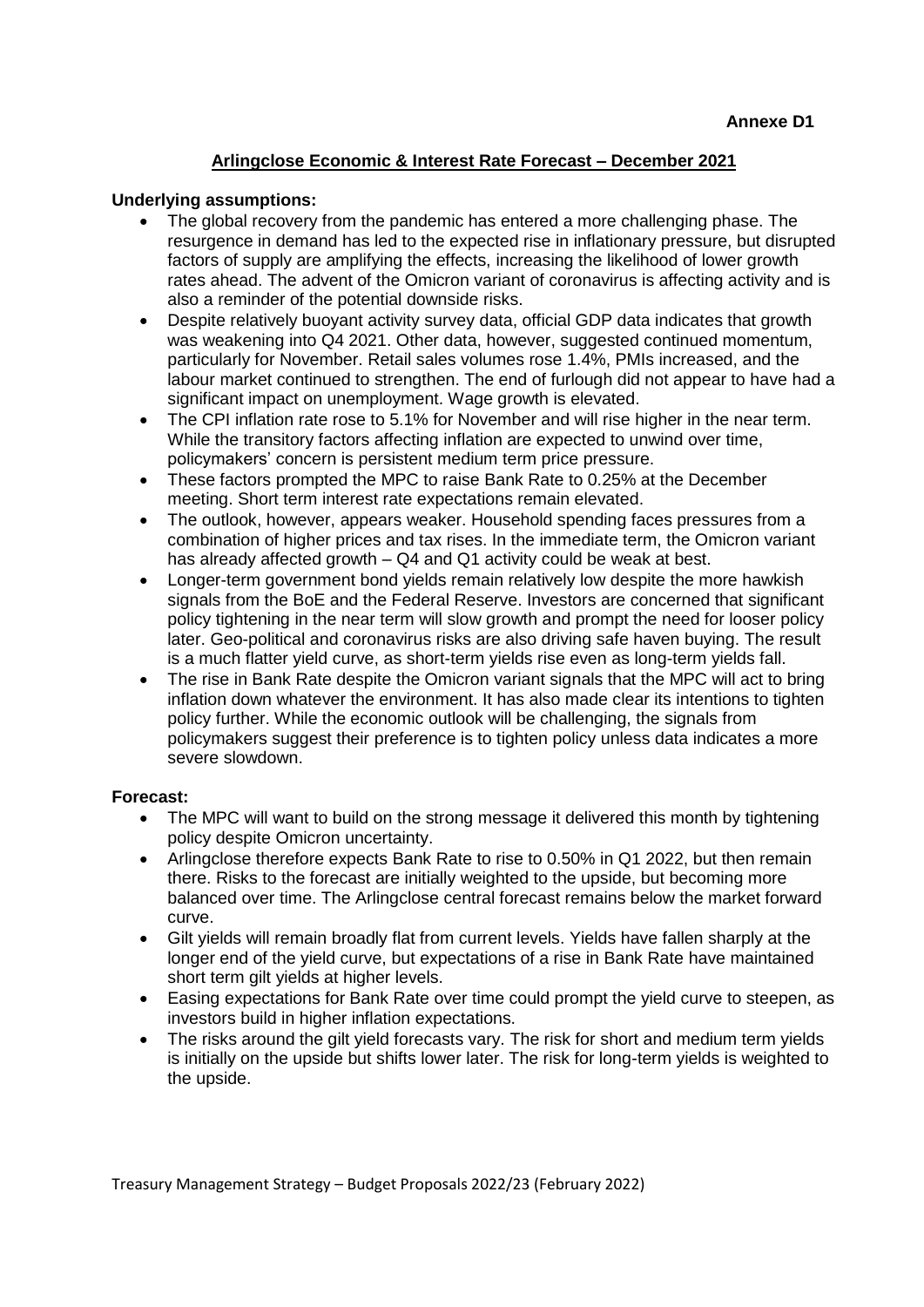# **Arlingclose Economic & Interest Rate Forecast – December 2021**

#### **Underlying assumptions:**

- The global recovery from the pandemic has entered a more challenging phase. The resurgence in demand has led to the expected rise in inflationary pressure, but disrupted factors of supply are amplifying the effects, increasing the likelihood of lower growth rates ahead. The advent of the Omicron variant of coronavirus is affecting activity and is also a reminder of the potential downside risks.
- Despite relatively buoyant activity survey data, official GDP data indicates that growth was weakening into Q4 2021. Other data, however, suggested continued momentum, particularly for November. Retail sales volumes rose 1.4%, PMIs increased, and the labour market continued to strengthen. The end of furlough did not appear to have had a significant impact on unemployment. Wage growth is elevated.
- The CPI inflation rate rose to 5.1% for November and will rise higher in the near term. While the transitory factors affecting inflation are expected to unwind over time, policymakers' concern is persistent medium term price pressure.
- These factors prompted the MPC to raise Bank Rate to 0.25% at the December meeting. Short term interest rate expectations remain elevated.
- The outlook, however, appears weaker. Household spending faces pressures from a combination of higher prices and tax rises. In the immediate term, the Omicron variant has already affected growth – Q4 and Q1 activity could be weak at best.
- Longer-term government bond yields remain relatively low despite the more hawkish signals from the BoE and the Federal Reserve. Investors are concerned that significant policy tightening in the near term will slow growth and prompt the need for looser policy later. Geo-political and coronavirus risks are also driving safe haven buying. The result is a much flatter yield curve, as short-term yields rise even as long-term yields fall.
- The rise in Bank Rate despite the Omicron variant signals that the MPC will act to bring inflation down whatever the environment. It has also made clear its intentions to tighten policy further. While the economic outlook will be challenging, the signals from policymakers suggest their preference is to tighten policy unless data indicates a more severe slowdown.

#### **Forecast:**

- The MPC will want to build on the strong message it delivered this month by tightening policy despite Omicron uncertainty.
- Arlingclose therefore expects Bank Rate to rise to 0.50% in Q1 2022, but then remain there. Risks to the forecast are initially weighted to the upside, but becoming more balanced over time. The Arlingclose central forecast remains below the market forward curve.
- Gilt yields will remain broadly flat from current levels. Yields have fallen sharply at the longer end of the yield curve, but expectations of a rise in Bank Rate have maintained short term gilt yields at higher levels.
- Easing expectations for Bank Rate over time could prompt the yield curve to steepen, as investors build in higher inflation expectations.
- The risks around the gilt yield forecasts vary. The risk for short and medium term yields is initially on the upside but shifts lower later. The risk for long-term yields is weighted to the upside.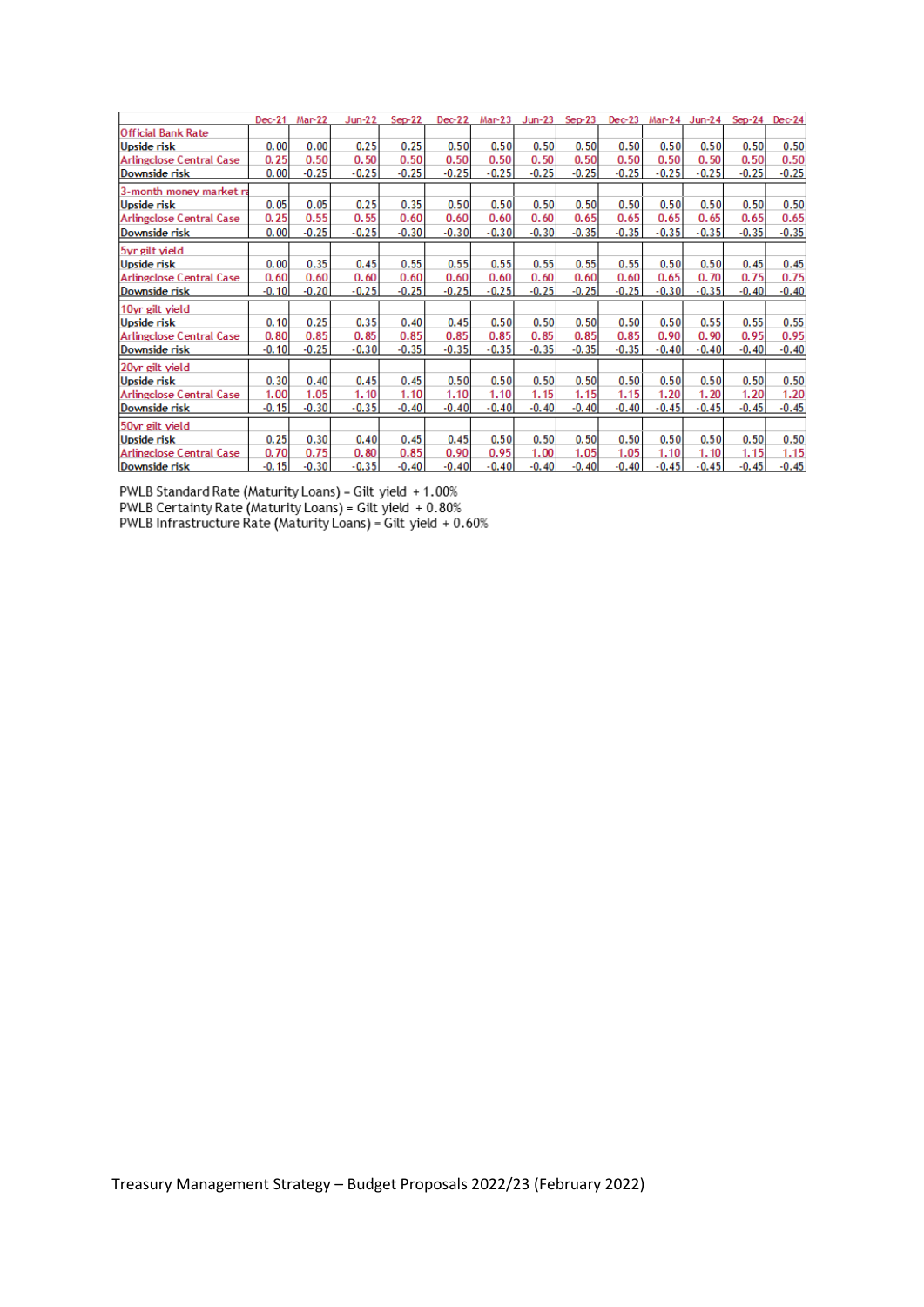|                                 | $Dec-21$ | Mar-22  | $Jun-22$ | $Sep-22$ | $Dec-22$ | $Mar-23$ | Jun-23  | $Sep-23$ | $Dec-23$ |         | Mar-24 Jun-24 Sep-24 |         | $Dec-24$ |
|---------------------------------|----------|---------|----------|----------|----------|----------|---------|----------|----------|---------|----------------------|---------|----------|
| <b>Official Bank Rate</b>       |          |         |          |          |          |          |         |          |          |         |                      |         |          |
| <b>Upside risk</b>              | 0.00     | 0.00    | 0.25     | 0.25     | 0.50     | 0.50     | 0.50    | 0.50     | 0.50     | 0.50    | 0.50                 | 0.50    | 0.50     |
| <b>Arlingclose Central Case</b> | 0.25     | 0.50    | 0.50     | 0.50     | 0.50     | 0.50     | 0.50    | 0.50     | 0.50     | 0.50    | 0.50                 | 0.50    | 0.50     |
| Downside risk                   | 0.00     | $-0.25$ | $-0.25$  | $-0.25$  | $-0.25$  | $-0.25$  | $-0.25$ | $-0.25$  | $-0.25$  | $-0.25$ | $-0.25$              | $-0.25$ | $-0.25$  |
| 3-month money market ra         |          |         |          |          |          |          |         |          |          |         |                      |         |          |
| Upside risk                     | 0.05     | 0.05    | 0.25     | 0.35     | 0.50     | 0.50     | 0.50    | 0.50     | 0.50     | 0.50    | 0.50                 | 0.50    | 0.50     |
| <b>Arlingclose Central Case</b> | 0.25     | 0.55    | 0.55     | 0.60     | 0.60     | 0.60     | 0.60    | 0.65     | 0.65     | 0.65    | 0.65                 | 0.65    | 0.65     |
| Downside risk                   | 0.00     | $-0.25$ | $-0.25$  | $-0.30$  | $-0.30$  | $-0.30$  | $-0.30$ | $-0.35$  | $-0.35$  | $-0.35$ | $-0.35$              | $-0.35$ | $-0.35$  |
| 5yr gilt yield                  |          |         |          |          |          |          |         |          |          |         |                      |         |          |
| <b>Upside risk</b>              | 0.00     | 0.35    | 0.45     | 0.55     | 0.55     | 0.55     | 0.55    | 0.55     | 0.55     | 0.50    | 0.50                 | 0.45    | 0.45     |
| <b>Arlingclose Central Case</b> | 0.60     | 0.60    | 0.60     | 0.60     | 0.60     | 0.60     | 0.60    | 0.60     | 0.60     | 0.65    | 0.70                 | 0.75    | 0.75     |
| Downside risk                   | $-0.10$  | $-0.20$ | $-0.25$  | $-0.25$  | $-0.25$  | $-0.25$  | $-0.25$ | $-0.25$  | $-0.25$  | $-0.30$ | $-0.35$              | $-0.40$ | $-0.40$  |
| 10yr gilt yield                 |          |         |          |          |          |          |         |          |          |         |                      |         |          |
| <b>Upside risk</b>              | 0.10     | 0.25    | 0.35     | 0.40     | 0.45     | 0.50     | 0.50    | 0.50     | 0.50     | 0.50    | 0.55                 | 0.55    | 0.55     |
| <b>Arlingclose Central Case</b> | 0.80     | 0.85    | 0.85     | 0.85     | 0.85     | 0.85     | 0.85    | 0.85     | 0.85     | 0.90    | 0.90                 | 0.95    | 0.95     |
| Downside risk                   | $-0.10$  | $-0.25$ | $-0.30$  | $-0.35$  | $-0.35$  | $-0.35$  | $-0.35$ | $-0.35$  | $-0.35$  | $-0.40$ | $-0.40$              | $-0.40$ | $-0.40$  |
| 20yr gilt yield                 |          |         |          |          |          |          |         |          |          |         |                      |         |          |
| <b>Upside risk</b>              | 0.30     | 0.40    | 0.45     | 0.45     | 0.50     | 0.50     | 0.50    | 0.50     | 0.50     | 0.50    | 0.50                 | 0.50    | 0.50     |
| <b>Arlingclose Central Case</b> | 1.00     | 1.05    | 1.10     | 1.10     | 1.10     | 1.10     | 1.15    | 1.15     | 1.15     | 1.20    | 1.20                 | 1.20    | 1.20     |
| Downside risk                   | $-0.15$  | $-0.30$ | $-0.35$  | $-0.40$  | $-0.40$  | $-0.40$  | $-0.40$ | $-0.40$  | $-0.40$  | $-0.45$ | $-0.45$              | $-0.45$ | $-0.45$  |
| 50yr gilt yield                 |          |         |          |          |          |          |         |          |          |         |                      |         |          |
| <b>Upside risk</b>              | 0.25     | 0.30    | 0.40     | 0.45     | 0.45     | 0.50     | 0.50    | 0.50     | 0.50     | 0.50    | 0.50                 | 0.50    | 0.50     |
| Arlingclose Central Case        | 0.70     | 0.75    | 0.80     | 0.85     | 0.90     | 0.95     | 1.00    | 1.05     | 1.05     | 1.10    | 1.10                 | 1.15    | 1.15     |
| Downside risk                   | $-0.15$  | $-0.30$ | $-0.35$  | $-0.40$  | $-0.40$  | $-0.40$  | $-0.40$ | $-0.40$  | $-0.40$  | $-0.45$ | $-0.45$              | $-0.45$ | $-0.45$  |

PWLB Standard Rate (Maturity Loans) = Gilt yield +1.00%<br>PWLB Certainty Rate (Maturity Loans) = Gilt yield +0.80%<br>PWLB Infrastructure Rate (Maturity Loans) = Gilt yield +0.60%